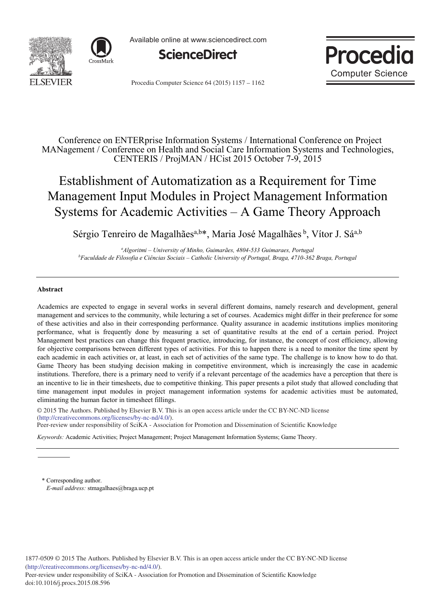![](_page_0_Picture_0.jpeg)

![](_page_0_Picture_1.jpeg)

Available online at www.sciencedirect.com

![](_page_0_Picture_3.jpeg)

![](_page_0_Picture_4.jpeg)

Procedia Computer Science 64 (2015) 1157 - 1162

Conference on ENTERprise Information Systems / International Conference on Project MANagement / Conference on Health and Social Care Information Systems and Technologies, CENTERIS / ProjMAN / HCist 2015 October 7-9, 2015

# Establishment of Automatization as a Requirement for Time Management Input Modules in Project Management Information Systems for Academic Activities – A Game Theory Approach

Sérgio Tenreiro de Magalhães<sup>a,b\*</sup>, Maria José Magalhães<sup>b</sup>, Vítor J. Sá<sup>a,b</sup>

*a Algoritmi – University of Minho, Guimarães, 4804-533 Guimaraes, Portugal b Faculdade de Filosofia e Ciências Sociais – Catholic University of Portugal, Braga, 4710-362 Braga, Portugal*

### **Abstract**

Academics are expected to engage in several works in several different domains, namely research and development, general management and services to the community, while lecturing a set of courses. Academics might differ in their preference for some of these activities and also in their corresponding performance. Quality assurance in academic institutions implies monitoring performance, what is frequently done by measuring a set of quantitative results at the end of a certain period. Project Management best practices can change this frequent practice, introducing, for instance, the concept of cost efficiency, allowing for objective comparisons between different types of activities. For this to happen there is a need to monitor the time spent by each academic in each activities or, at least, in each set of activities of the same type. The challenge is to know how to do that. Game Theory has been studying decision making in competitive environment, which is increasingly the case in academic institutions. Therefore, there is a primary need to verify if a relevant percentage of the academics have a perception that there is an incentive to lie in their timesheets, due to competitive thinking. This paper presents a pilot study that allowed concluding that time management input modules in project management information systems for academic activities must be automated, eliminating the human factor in timesheet fillings.

© 2015 The Authors. Published by Elsevier B.V. © 2015 The Authors. Published by Elsevier B.V. This is an open access article under the CC BY-NC-ND license Peer-review under responsibility of SciKA - Association for Promotion and Dissemination of Scientific Knowledge. Peer-review under responsibility of SciKA - Association for Promotion and Dissemination of Scientific Knowledge(http://creativecommons.org/licenses/by-nc-nd/4.0/).

*Keywords:* Academic Activities; Project Management; Project Management Information Systems; Game Theory.

\* Corresponding author. *E-mail address:* stmagalhaes@braga.ucp.pt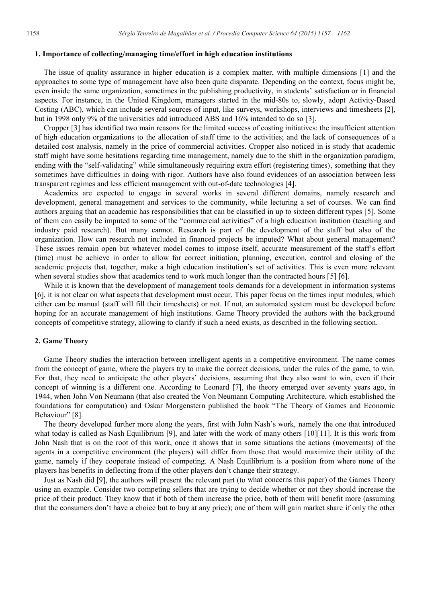#### **1. Importance of collecting/managing time/effort in high education institutions**

The issue of quality assurance in higher education is a complex matter, with multiple dimensions [1] and the approaches to some type of management have also been quite disparate. Depending on the context, focus might be, even inside the same organization, sometimes in the publishing productivity, in students' satisfaction or in financial aspects. For instance, in the United Kingdom, managers started in the mid-80s to, slowly, adopt Activity-Based Costing (ABC), which can include several sources of input, like surveys, workshops, interviews and timesheets [2], but in 1998 only 9% of the universities add introduced ABS and 16% intended to do so [3].

Cropper [3] has identified two main reasons for the limited success of costing initiatives: the insufficient attention of high education organizations to the allocation of staff time to the activities; and the lack of consequences of a detailed cost analysis, namely in the price of commercial activities. Cropper also noticed in is study that academic staff might have some hesitations regarding time management, namely due to the shift in the organization paradigm, ending with the "self-validating" while simultaneously requiring extra effort (registering times), something that they sometimes have difficulties in doing with rigor. Authors have also found evidences of an association between less transparent regimes and less efficient management with out-of-date technologies [4].

Academics are expected to engage in several works in several different domains, namely research and development, general management and services to the community, while lecturing a set of courses. We can find authors arguing that an academic has responsibilities that can be classified in up to sixteen different types [5]. Some of them can easily be imputed to some of the "commercial activities" of a high education institution (teaching and industry paid research). But many cannot. Research is part of the development of the staff but also of the organization. How can research not included in financed projects be imputed? What about general management? These issues remain open but whatever model comes to impose itself, accurate measurement of the staff's effort (time) must be achieve in order to allow for correct initiation, planning, execution, control and closing of the academic projects that, together, make a high education institution's set of activities. This is even more relevant when several studies show that academics tend to work much longer than the contracted hours [5] [6].

While it is known that the development of management tools demands for a development in information systems [6], it is not clear on what aspects that development must occur. This paper focus on the times input modules, which either can be manual (staff will fill their timesheets) or not. If not, an automated system must be developed before hoping for an accurate management of high institutions. Game Theory provided the authors with the background concepts of competitive strategy, allowing to clarify if such a need exists, as described in the following section.

#### **2. Game Theory**

Game Theory studies the interaction between intelligent agents in a competitive environment. The name comes from the concept of game, where the players try to make the correct decisions, under the rules of the game, to win. For that, they need to anticipate the other players' decisions, assuming that they also want to win, even if their concept of winning is a different one. According to Leonard [7], the theory emerged over seventy years ago, in 1944, when John Von Neumann (that also created the Von Neumann Computing Architecture, which established the foundations for computation) and Oskar Morgenstern published the book "The Theory of Games and Economic Behaviour" [8].

The theory developed further more along the years, first with John Nash's work, namely the one that introduced what today is called as Nash Equilibrium [9], and later with the work of many others [10][11]. It is this work from John Nash that is on the root of this work, once it shows that in some situations the actions (movements) of the agents in a competitive environment (the players) will differ from those that would maximize their utility of the game, namely if they cooperate instead of competing. A Nash Equilibrium is a position from where none of the players has benefits in deflecting from if the other players don't change their strategy.

Just as Nash did [9], the authors will present the relevant part (to what concerns this paper) of the Games Theory using an example. Consider two competing sellers that are trying to decide whether or not they should increase the price of their product. They know that if both of them increase the price, both of them will benefit more (assuming that the consumers don't have a choice but to buy at any price); one of them will gain market share if only the other